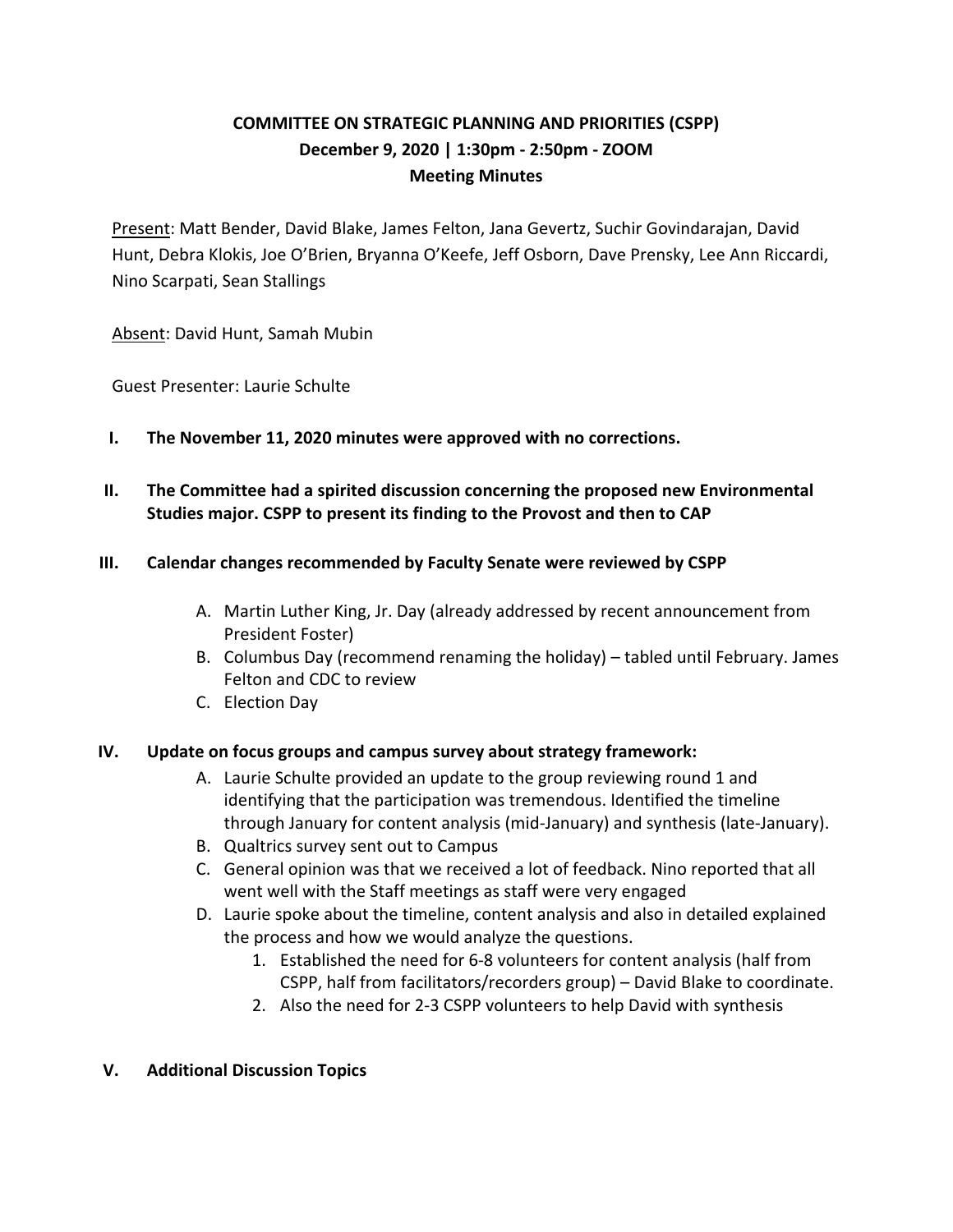# **COMMITTEE ON STRATEGIC PLANNING AND PRIORITIES (CSPP) December 9, 2020 | 1:30pm - 2:50pm - ZOOM Meeting Minutes**

Present: Matt Bender, David Blake, James Felton, Jana Gevertz, Suchir Govindarajan, David Hunt, Debra Klokis, Joe O'Brien, Bryanna O'Keefe, Jeff Osborn, Dave Prensky, Lee Ann Riccardi, Nino Scarpati, Sean Stallings

Absent: David Hunt, Samah Mubin

Guest Presenter: Laurie Schulte

- **I. The November 11, 2020 minutes were approved with no corrections.**
- **II. The Committee had a spirited discussion concerning the proposed new Environmental Studies major. CSPP to present its finding to the Provost and then to CAP**

### **III. Calendar changes recommended by Faculty Senate were reviewed by CSPP**

- A. Martin Luther King, Jr. Day (already addressed by recent announcement from President Foster)
- B. Columbus Day (recommend renaming the holiday) tabled until February. James Felton and CDC to review
- C. Election Day

## **IV. Update on focus groups and campus survey about strategy framework:**

- A. Laurie Schulte provided an update to the group reviewing round 1 and identifying that the participation was tremendous. Identified the timeline through January for content analysis (mid-January) and synthesis (late-January).
- B. Qualtrics survey sent out to Campus
- C. General opinion was that we received a lot of feedback. Nino reported that all went well with the Staff meetings as staff were very engaged
- D. Laurie spoke about the timeline, content analysis and also in detailed explained the process and how we would analyze the questions.
	- 1. Established the need for 6-8 volunteers for content analysis (half from CSPP, half from facilitators/recorders group) – David Blake to coordinate.
	- 2. Also the need for 2-3 CSPP volunteers to help David with synthesis

## **V. Additional Discussion Topics**